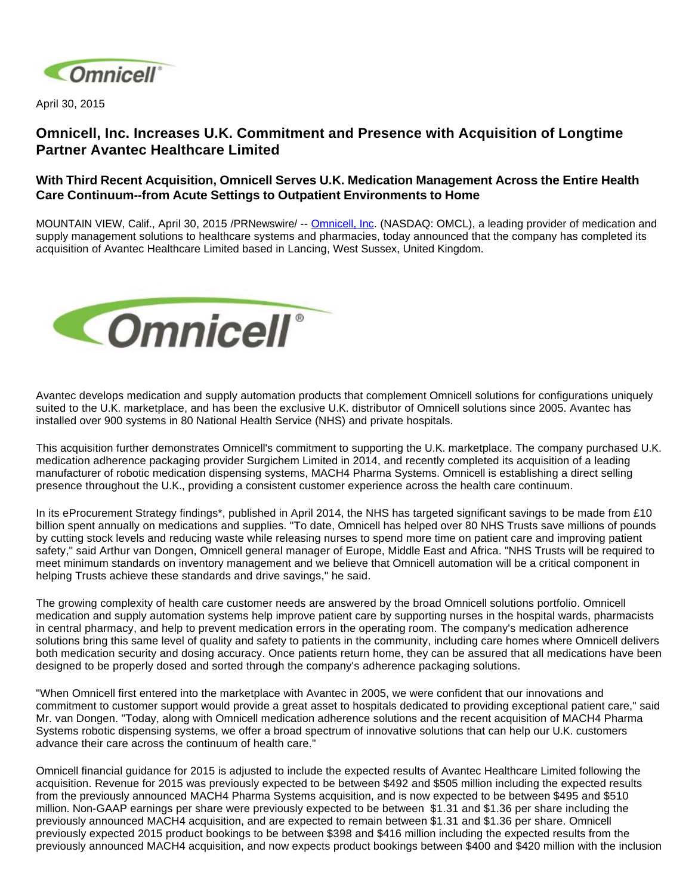

April 30, 2015

# **Omnicell, Inc. Increases U.K. Commitment and Presence with Acquisition of Longtime Partner Avantec Healthcare Limited**

# **With Third Recent Acquisition, Omnicell Serves U.K. Medication Management Across the Entire Health Care Continuum--from Acute Settings to Outpatient Environments to Home**

MOUNTAIN VIEW, Calif., April 30, 2015 /PRNewswire/ -- [Omnicell, Inc.](http://www.omnicell.com/) (NASDAQ: OMCL), a leading provider of medication and supply management solutions to healthcare systems and pharmacies, today announced that the company has completed its acquisition of Avantec Healthcare Limited based in Lancing, West Sussex, United Kingdom.



Avantec develops medication and supply automation products that complement Omnicell solutions for configurations uniquely suited to the U.K. marketplace, and has been the exclusive U.K. distributor of Omnicell solutions since 2005. Avantec has installed over 900 systems in 80 National Health Service (NHS) and private hospitals.

This acquisition further demonstrates Omnicell's commitment to supporting the U.K. marketplace. The company purchased U.K. medication adherence packaging provider Surgichem Limited in 2014, and recently completed its acquisition of a leading manufacturer of robotic medication dispensing systems, MACH4 Pharma Systems. Omnicell is establishing a direct selling presence throughout the U.K., providing a consistent customer experience across the health care continuum.

In its eProcurement Strategy findings<sup>\*</sup>, published in April 2014, the NHS has targeted significant savings to be made from £10 billion spent annually on medications and supplies. "To date, Omnicell has helped over 80 NHS Trusts save millions of pounds by cutting stock levels and reducing waste while releasing nurses to spend more time on patient care and improving patient safety," said Arthur van Dongen, Omnicell general manager of Europe, Middle East and Africa. "NHS Trusts will be required to meet minimum standards on inventory management and we believe that Omnicell automation will be a critical component in helping Trusts achieve these standards and drive savings," he said.

The growing complexity of health care customer needs are answered by the broad Omnicell solutions portfolio. Omnicell medication and supply automation systems help improve patient care by supporting nurses in the hospital wards, pharmacists in central pharmacy, and help to prevent medication errors in the operating room. The company's medication adherence solutions bring this same level of quality and safety to patients in the community, including care homes where Omnicell delivers both medication security and dosing accuracy. Once patients return home, they can be assured that all medications have been designed to be properly dosed and sorted through the company's adherence packaging solutions.

"When Omnicell first entered into the marketplace with Avantec in 2005, we were confident that our innovations and commitment to customer support would provide a great asset to hospitals dedicated to providing exceptional patient care," said Mr. van Dongen. "Today, along with Omnicell medication adherence solutions and the recent acquisition of MACH4 Pharma Systems robotic dispensing systems, we offer a broad spectrum of innovative solutions that can help our U.K. customers advance their care across the continuum of health care."

Omnicell financial guidance for 2015 is adjusted to include the expected results of Avantec Healthcare Limited following the acquisition. Revenue for 2015 was previously expected to be between \$492 and \$505 million including the expected results from the previously announced MACH4 Pharma Systems acquisition, and is now expected to be between \$495 and \$510 million. Non-GAAP earnings per share were previously expected to be between \$1.31 and \$1.36 per share including the previously announced MACH4 acquisition, and are expected to remain between \$1.31 and \$1.36 per share. Omnicell previously expected 2015 product bookings to be between \$398 and \$416 million including the expected results from the previously announced MACH4 acquisition, and now expects product bookings between \$400 and \$420 million with the inclusion